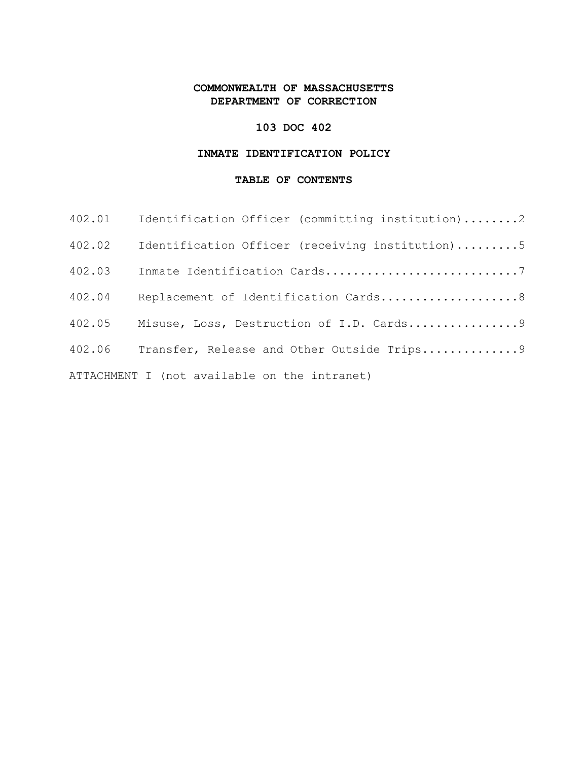# **COMMONWEALTH OF MASSACHUSETTS DEPARTMENT OF CORRECTION**

## **103 DOC 402**

## **INMATE IDENTIFICATION POLICY**

#### **TABLE OF CONTENTS**

| 402.01                                       | Identification Officer (committing institution)2 |  |
|----------------------------------------------|--------------------------------------------------|--|
| 402.02                                       | Identification Officer (receiving institution)5  |  |
| 402.03                                       |                                                  |  |
| 402.04                                       | Replacement of Identification Cards8             |  |
| 402.05                                       | Misuse, Loss, Destruction of I.D. Cards9         |  |
| 402.06                                       | Transfer, Release and Other Outside Trips9       |  |
| ATTACHMENT I (not available on the intranet) |                                                  |  |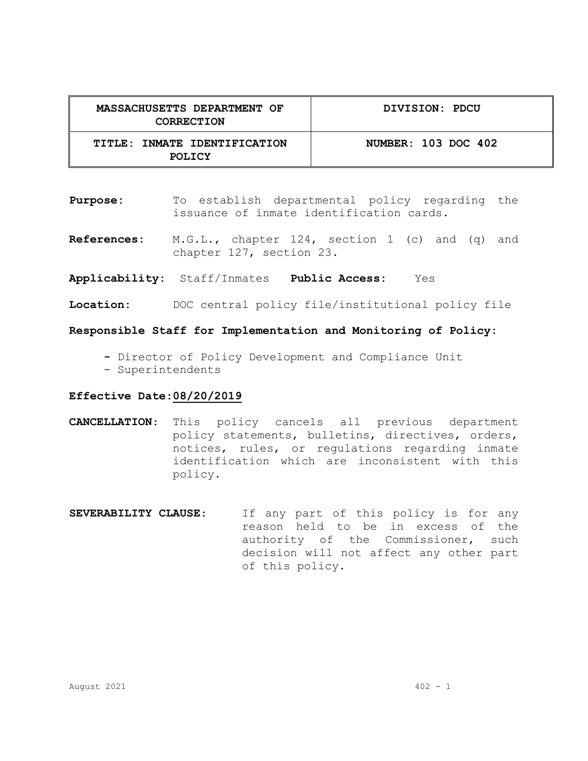| MASSACHUSETTS DEPARTMENT OF<br>CORRECTION     | DIVISION: PDCU      |
|-----------------------------------------------|---------------------|
| TITLE: INMATE IDENTIFICATION<br><b>POLICY</b> | NUMBER: 103 DOC 402 |

- **Purpose:** To establish departmental policy regarding the issuance of inmate identification cards.
- **References:** M.G.L., chapter 124, section 1 (c) and (q) and chapter 127, section 23.
- **Applicability:** Staff/Inmates **Public Access:** Yes
- **Location:** DOC central policy file/institutional policy file

**Responsible Staff for Implementation and Monitoring of Policy:**

- **-** Director of Policy Development and Compliance Unit
- Superintendents

#### **Effective Date:08/20/2019**

- **CANCELLATION**: This policy cancels all previous department policy statements, bulletins, directives, orders, notices, rules, or regulations regarding inmate identification which are inconsistent with this policy.
- **SEVERABILITY CLAUSE**: If any part of this policy is for any reason held to be in excess of the authority of the Commissioner, such decision will not affect any other part of this policy.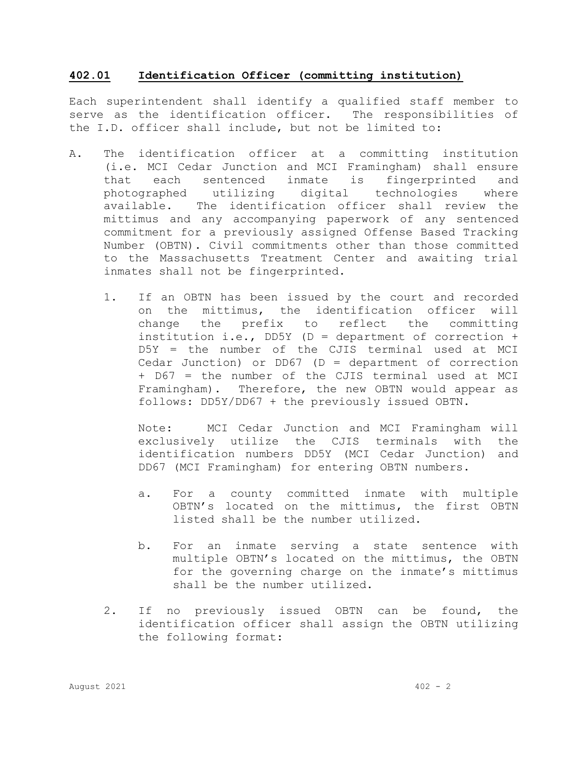### **402.01 Identification Officer (committing institution)**

Each superintendent shall identify a qualified staff member to serve as the identification officer. The responsibilities of the I.D. officer shall include, but not be limited to:

- A. The identification officer at a committing institution (i.e. MCI Cedar Junction and MCI Framingham) shall ensure that each sentenced inmate is fingerprinted and<br>photographed utilizing digital technologies where photographed utilizing digital technologies where available. The identification officer shall review the mittimus and any accompanying paperwork of any sentenced commitment for a previously assigned Offense Based Tracking Number (OBTN). Civil commitments other than those committed to the Massachusetts Treatment Center and awaiting trial inmates shall not be fingerprinted.
	- 1. If an OBTN has been issued by the court and recorded on the mittimus, the identification officer will change the prefix to reflect the committing institution i.e., DD5Y ( $D =$  department of correction + D5Y = the number of the CJIS terminal used at MCI Cedar Junction) or DD67 (D = department of correction + D67 = the number of the CJIS terminal used at MCI Framingham). Therefore, the new OBTN would appear as follows: DD5Y/DD67 + the previously issued OBTN.

Note: MCI Cedar Junction and MCI Framingham will exclusively utilize the CJIS terminals with the identification numbers DD5Y (MCI Cedar Junction) and DD67 (MCI Framingham) for entering OBTN numbers.

- a. For a county committed inmate with multiple OBTN's located on the mittimus, the first OBTN listed shall be the number utilized.
- b. For an inmate serving a state sentence with multiple OBTN's located on the mittimus, the OBTN for the governing charge on the inmate's mittimus shall be the number utilized.
- 2. If no previously issued OBTN can be found, the identification officer shall assign the OBTN utilizing the following format: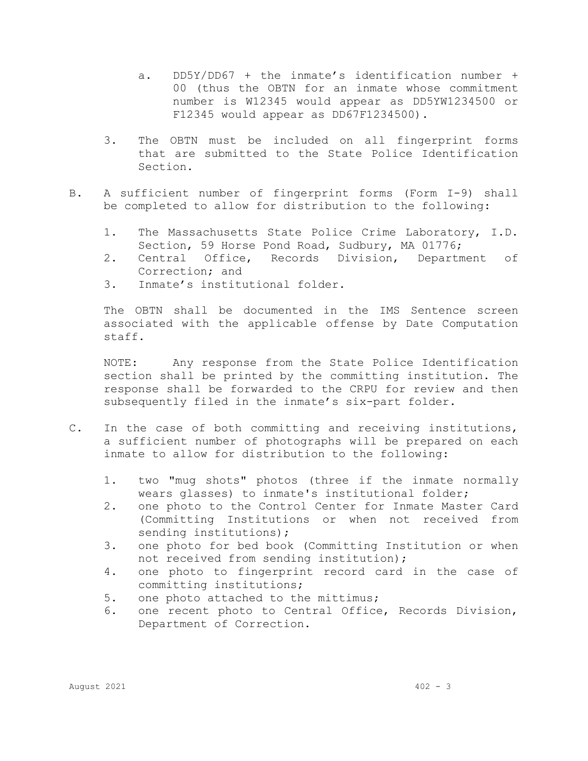- a. DD5Y/DD67 + the inmate's identification number + 00 (thus the OBTN for an inmate whose commitment number is W12345 would appear as DD5YW1234500 or F12345 would appear as DD67F1234500).
- 3. The OBTN must be included on all fingerprint forms that are submitted to the State Police Identification Section.
- B. A sufficient number of fingerprint forms (Form I-9) shall be completed to allow for distribution to the following:
	- 1. The Massachusetts State Police Crime Laboratory, I.D. Section, 59 Horse Pond Road, Sudbury, MA 01776;<br>Central Office, Records Division, Departm
	- 2. Central Office, Records Division, Department of Correction; and
	- 3. Inmate's institutional folder.

The OBTN shall be documented in the IMS Sentence screen associated with the applicable offense by Date Computation staff.

NOTE: Any response from the State Police Identification section shall be printed by the committing institution. The response shall be forwarded to the CRPU for review and then subsequently filed in the inmate's six-part folder.

- C. In the case of both committing and receiving institutions, a sufficient number of photographs will be prepared on each inmate to allow for distribution to the following:
	- 1. two "mug shots" photos (three if the inmate normally wears glasses) to inmate's institutional folder;
	- 2. one photo to the Control Center for Inmate Master Card (Committing Institutions or when not received from sending institutions);
	- 3. one photo for bed book (Committing Institution or when not received from sending institution);
	- 4. one photo to fingerprint record card in the case of committing institutions;
	- 5. one photo attached to the mittimus;<br>6. one recent photo to Central Office
	- one recent photo to Central Office, Records Division, Department of Correction.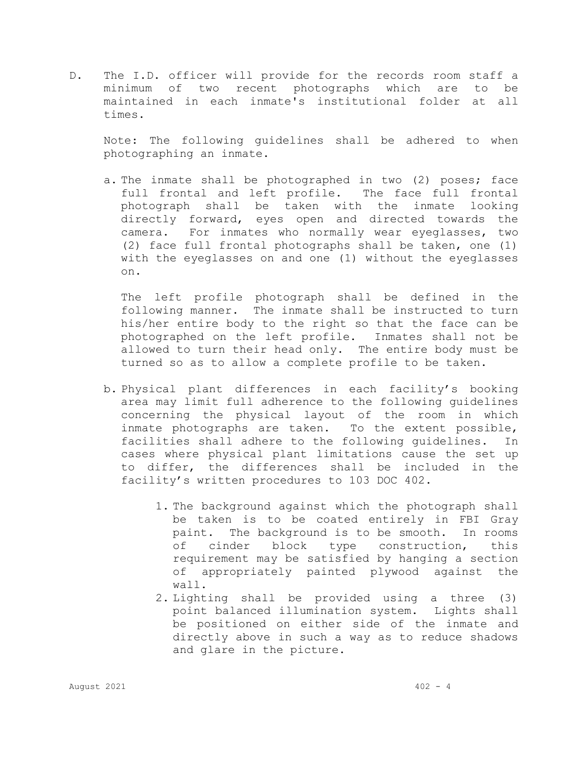D. The I.D. officer will provide for the records room staff a minimum of two recent photographs which are to be maintained in each inmate's institutional folder at all times.

Note: The following guidelines shall be adhered to when photographing an inmate.

a. The inmate shall be photographed in two (2) poses; face full frontal and left profile. The face full frontal photograph shall be taken with the inmate looking directly forward, eyes open and directed towards the camera. For inmates who normally wear eyeglasses, two (2) face full frontal photographs shall be taken, one (1) with the eyeglasses on and one (1) without the eyeglasses on.

The left profile photograph shall be defined in the following manner. The inmate shall be instructed to turn his/her entire body to the right so that the face can be photographed on the left profile. Inmates shall not be allowed to turn their head only. The entire body must be turned so as to allow a complete profile to be taken.

- b. Physical plant differences in each facility's booking area may limit full adherence to the following guidelines concerning the physical layout of the room in which inmate photographs are taken. To the extent possible, facilities shall adhere to the following guidelines. In cases where physical plant limitations cause the set up to differ, the differences shall be included in the facility's written procedures to 103 DOC 402.
	- 1. The background against which the photograph shall be taken is to be coated entirely in FBI Gray paint. The background is to be smooth. In rooms of cinder block type construction, this requirement may be satisfied by hanging a section of appropriately painted plywood against the wall.
	- 2. Lighting shall be provided using a three (3) point balanced illumination system. Lights shall be positioned on either side of the inmate and directly above in such a way as to reduce shadows and glare in the picture.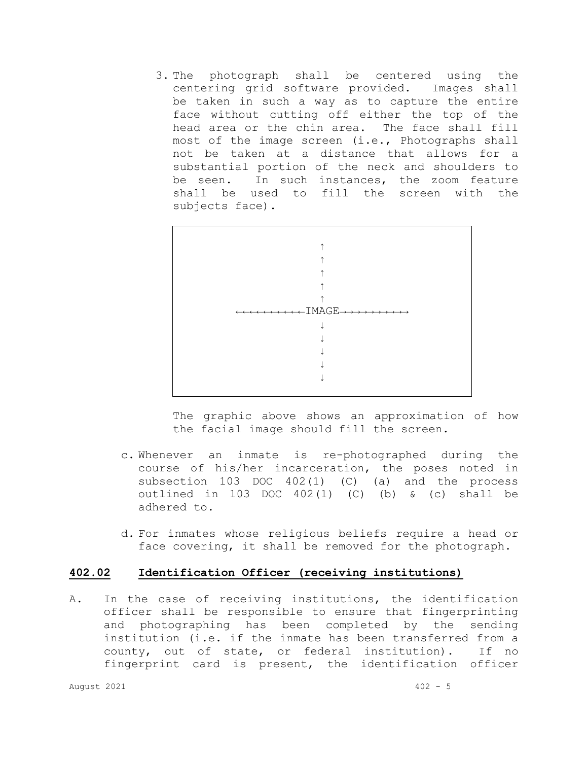3. The photograph shall be centered using the centering grid software provided. Images shall be taken in such a way as to capture the entire face without cutting off either the top of the head area or the chin area. The face shall fill most of the image screen (i.e., Photographs shall not be taken at a distance that allows for a substantial portion of the neck and shoulders to<br>be seen. In such instances, the zoom feature In such instances, the zoom feature shall be used to fill the screen with the subjects face).



The graphic above shows an approximation of how the facial image should fill the screen.

- c. Whenever an inmate is re-photographed during the course of his/her incarceration, the poses noted in subsection 103 DOC 402(1) (C) (a) and the process outlined in 103 DOC  $402(1)$  (C) (b) & (c) shall be adhered to.
- d. For inmates whose religious beliefs require a head or face covering, it shall be removed for the photograph.

### **402.02 Identification Officer (receiving institutions)**

A. In the case of receiving institutions, the identification officer shall be responsible to ensure that fingerprinting and photographing has been completed by the sending institution (i.e. if the inmate has been transferred from a county, out of state, or federal institution). If no fingerprint card is present, the identification officer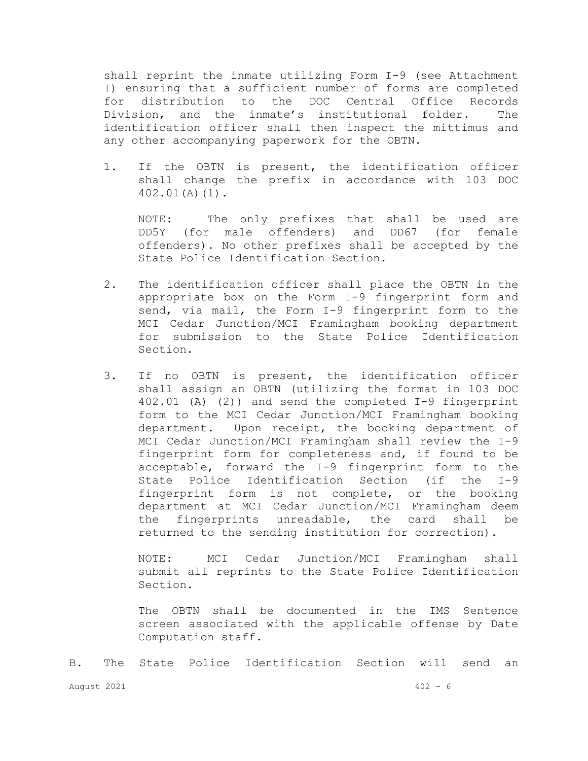shall reprint the inmate utilizing Form I-9 (see Attachment I) ensuring that a sufficient number of forms are completed<br>for distribution to the DOC Central Office Records for distribution to the DOC Central Office Records Division, and the inmate's institutional folder. The identification officer shall then inspect the mittimus and any other accompanying paperwork for the OBTN.

1. If the OBTN is present, the identification officer shall change the prefix in accordance with 103 DOC 402.01(A)(1).

NOTE: The only prefixes that shall be used are<br>DD5Y (for male offenders) and DD67 (for female (for male offenders) and DD67 (for offenders). No other prefixes shall be accepted by the State Police Identification Section.

- 2. The identification officer shall place the OBTN in the appropriate box on the Form I-9 fingerprint form and send, via mail, the Form I-9 fingerprint form to the MCI Cedar Junction/MCI Framingham booking department for submission to the State Police Identification Section.
- 3. If no OBTN is present, the identification officer shall assign an OBTN (utilizing the format in 103 DOC 402.01 (A) (2)) and send the completed I-9 fingerprint form to the MCI Cedar Junction/MCI Framingham booking department. Upon receipt, the booking department of MCI Cedar Junction/MCI Framingham shall review the I-9 fingerprint form for completeness and, if found to be acceptable, forward the I-9 fingerprint form to the<br>State Police Identification Section (if the I-9 State Police Identification Section (if the fingerprint form is not complete, or the booking department at MCI Cedar Junction/MCI Framingham deem the fingerprints unreadable, the card shall be returned to the sending institution for correction).

NOTE: MCI Cedar Junction/MCI Framingham shall submit all reprints to the State Police Identification Section.

The OBTN shall be documented in the IMS Sentence screen associated with the applicable offense by Date Computation staff.

August 2021 402 - 6 B. The State Police Identification Section will send an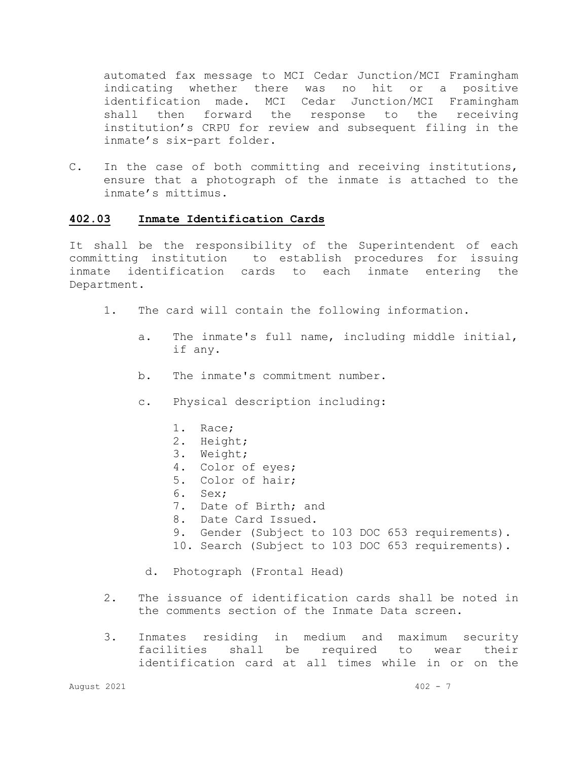automated fax message to MCI Cedar Junction/MCI Framingham indicating whether there was no hit or a positive<br>identification made. MCI Cedar Junction/MCI Framingham identification made. MCI Cedar Junction/MCI i<br>shall then forward the response to the shall then forward the response to the receiving institution's CRPU for review and subsequent filing in the inmate's six-part folder.

C. In the case of both committing and receiving institutions, ensure that a photograph of the inmate is attached to the inmate's mittimus.

### **402.03 Inmate Identification Cards**

It shall be the responsibility of the Superintendent of each committing institution to establish procedures for issuing inmate identification cards to each inmate entering the Department.

- 1. The card will contain the following information.
	- a. The inmate's full name, including middle initial, if any.
	- b. The inmate's commitment number.
	- c. Physical description including:
		- 1. Race;
		- 2. Height;
		- 3. Weight;
		- 4. Color of eyes;
		- 5. Color of hair;
		- 6. Sex;
		- 7. Date of Birth; and
		- 8. Date Card Issued.
		- 9. Gender (Subject to 103 DOC 653 requirements).
		- 10. Search (Subject to 103 DOC 653 requirements).
	- d. Photograph (Frontal Head)
- 2. The issuance of identification cards shall be noted in the comments section of the Inmate Data screen.
- 3. Inmates residing in medium and maximum security<br>facilities shall be required to wear their be required identification card at all times while in or on the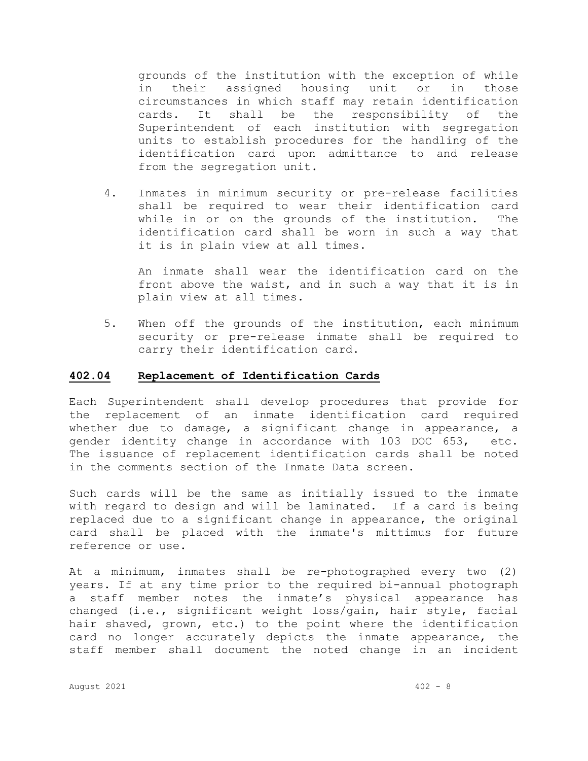grounds of the institution with the exception of while in their assigned housing unit or in those circumstances in which staff may retain identification cards. It shall be the responsibility of the Superintendent of each institution with segregation units to establish procedures for the handling of the identification card upon admittance to and release from the segregation unit.

4. Inmates in minimum security or pre-release facilities shall be required to wear their identification card while in or on the grounds of the institution. The identification card shall be worn in such a way that it is in plain view at all times.

An inmate shall wear the identification card on the front above the waist, and in such a way that it is in plain view at all times.

5. When off the grounds of the institution, each minimum security or pre-release inmate shall be required to carry their identification card.

#### **402.04 Replacement of Identification Cards**

Each Superintendent shall develop procedures that provide for the replacement of an inmate identification card required whether due to damage, a significant change in appearance, a gender identity change in accordance with 103 DOC 653, etc. The issuance of replacement identification cards shall be noted in the comments section of the Inmate Data screen.

Such cards will be the same as initially issued to the inmate with regard to design and will be laminated. If a card is being replaced due to a significant change in appearance, the original card shall be placed with the inmate's mittimus for future reference or use.

At a minimum, inmates shall be re-photographed every two (2) years. If at any time prior to the required bi-annual photograph a staff member notes the inmate's physical appearance has changed (i.e., significant weight loss/gain, hair style, facial hair shaved, grown, etc.) to the point where the identification card no longer accurately depicts the inmate appearance, the staff member shall document the noted change in an incident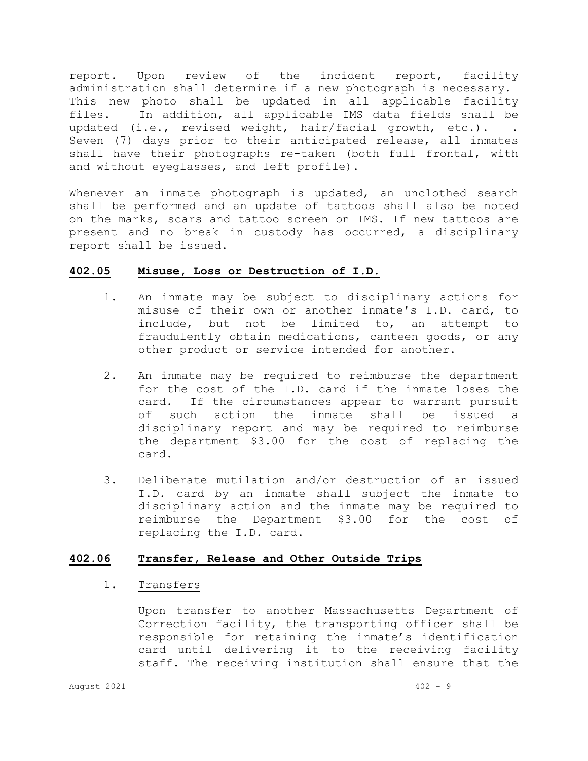report. Upon review of the incident report, facility administration shall determine if a new photograph is necessary. This new photo shall be updated in all applicable facility files. In addition, all applicable IMS data fields shall be updated (i.e., revised weight, hair/facial growth, etc.). . Seven (7) days prior to their anticipated release, all inmates shall have their photographs re-taken (both full frontal, with and without eyeglasses, and left profile).

Whenever an inmate photograph is updated, an unclothed search shall be performed and an update of tattoos shall also be noted on the marks, scars and tattoo screen on IMS. If new tattoos are present and no break in custody has occurred, a disciplinary report shall be issued.

### **402.05 Misuse, Loss or Destruction of I.D.**

- 1. An inmate may be subject to disciplinary actions for misuse of their own or another inmate's I.D. card, to include, but not be limited to, an attempt to fraudulently obtain medications, canteen goods, or any other product or service intended for another.
- 2. An inmate may be required to reimburse the department for the cost of the I.D. card if the inmate loses the card. If the circumstances appear to warrant pursuit of such action the inmate shall be issued a disciplinary report and may be required to reimburse the department \$3.00 for the cost of replacing the card.
- 3. Deliberate mutilation and/or destruction of an issued I.D. card by an inmate shall subject the inmate to disciplinary action and the inmate may be required to reimburse the Department \$3.00 for the cost of replacing the I.D. card.

## **402.06 Transfer, Release and Other Outside Trips**

## 1. Transfers

Upon transfer to another Massachusetts Department of Correction facility, the transporting officer shall be responsible for retaining the inmate's identification card until delivering it to the receiving facility staff. The receiving institution shall ensure that the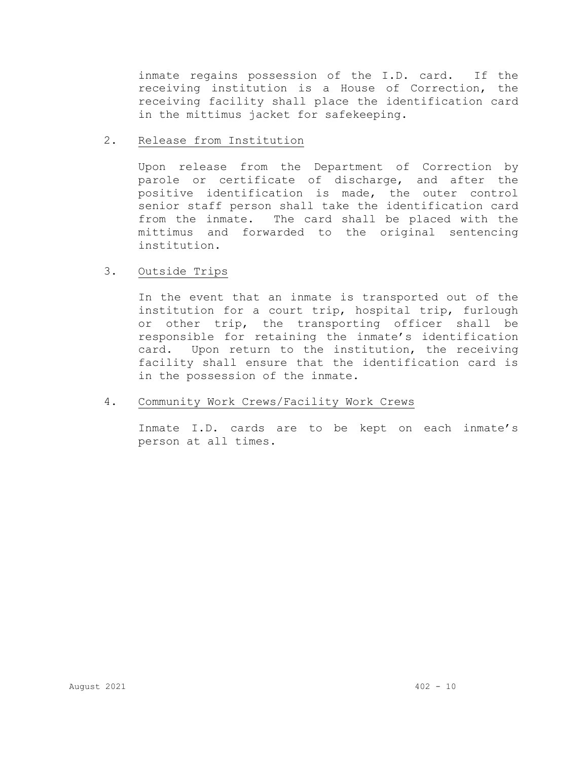inmate regains possession of the I.D. card. If the receiving institution is a House of Correction, the receiving facility shall place the identification card in the mittimus jacket for safekeeping.

## 2. Release from Institution

Upon release from the Department of Correction by parole or certificate of discharge, and after the positive identification is made, the outer control senior staff person shall take the identification card from the inmate. The card shall be placed with the mittimus and forwarded to the original sentencing institution.

## 3. Outside Trips

In the event that an inmate is transported out of the institution for a court trip, hospital trip, furlough or other trip, the transporting officer shall be responsible for retaining the inmate's identification card. Upon return to the institution, the receiving facility shall ensure that the identification card is in the possession of the inmate.

# 4. Community Work Crews/Facility Work Crews

Inmate I.D. cards are to be kept on each inmate's person at all times.